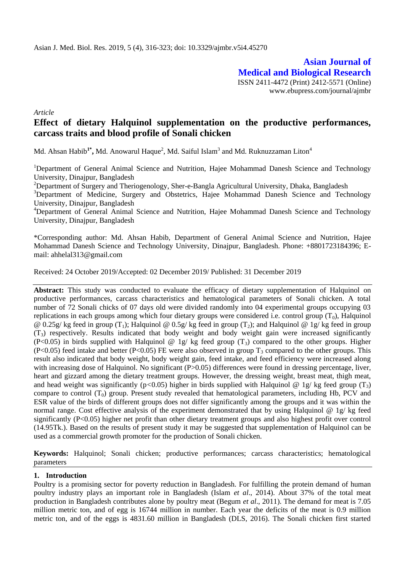**Asian Journal of Medical and Biological Research** ISSN 2411-4472 (Print) 2412-5571 (Online) www.ebupress.com/journal/ajmbr

*Article*

# **Effect of dietary Halquinol supplementation on the productive performances, carcass traits and blood profile of Sonali chicken**

Md. Ahsan Habib<sup>1\*</sup>, Md. Anowarul Haque<sup>2</sup>, Md. Saiful Islam<sup>3</sup> and Md. Ruknuzzaman Liton<sup>4</sup>

<sup>1</sup>Department of General Animal Science and Nutrition, Hajee Mohammad Danesh Science and Technology University, Dinajpur, Bangladesh

<sup>2</sup>Department of Surgery and Theriogenology, Sher-e-Bangla Agricultural University, Dhaka, Bangladesh

<sup>3</sup>Department of Medicine, Surgery and Obstetrics, Hajee Mohammad Danesh Science and Technology University, Dinajpur, Bangladesh

<sup>4</sup>Department of General Animal Science and Nutrition, Hajee Mohammad Danesh Science and Technology University, Dinajpur, Bangladesh

\*Corresponding author: Md. Ahsan Habib, Department of General Animal Science and Nutrition, Hajee Mohammad Danesh Science and Technology University, Dinajpur, Bangladesh. Phone: +8801723184396; Email: [ahhelal313@gmail.com](mailto:ahhelal313@gmail.com)

Received: 24 October 2019/Accepted: 02 December 2019/ Published: 31 December 2019

Abstract: This study was conducted to evaluate the efficacy of dietary supplementation of Halquinol on productive performances, carcass characteristics and hematological parameters of Sonali chicken. A total number of 72 Sonali chicks of 07 days old were divided randomly into 04 experimental groups occupying 03 replications in each groups among which four dietary groups were considered i.e. control group  $(T_0)$ , Halquinol @ 0.25g/ kg feed in group  $(T_1)$ ; Halquinol @ 0.5g/ kg feed in group  $(T_2)$ ; and Halquinol @ 1g/ kg feed in group (T3) respectively. Results indicated that body weight and body weight gain were increased significantly (P<0.05) in birds supplied with Halquinol @ 1g/ kg feed group  $(T_3)$  compared to the other groups. Higher (P<0.05) feed intake and better (P<0.05) FE were also observed in group  $T_3$  compared to the other groups. This result also indicated that body weight, body weight gain, feed intake, and feed efficiency were increased along with increasing dose of Halquinol. No significant (P>0.05) differences were found in dressing percentage, liver, heart and gizzard among the dietary treatment groups. However, the dressing weight, breast meat, thigh meat, and head weight was significantly ( $p < 0.05$ ) higher in birds supplied with Halquinol @ 1g/ kg feed group (T<sub>3</sub>) compare to control  $(T_0)$  group. Present study revealed that hematological parameters, including Hb, PCV and ESR value of the birds of different groups does not differ significantly among the groups and it was within the normal range. Cost effective analysis of the experiment demonstrated that by using Halquinol  $\omega$  1g/ kg feed significantly (P<0.05) higher net profit than other dietary treatment groups and also highest profit over control (14.95Tk.). Based on the results of present study it may be suggested that supplementation of Halquinol can be used as a commercial growth promoter for the production of Sonali chicken.

**Keywords:** Halquinol; Sonali chicken; productive performances; carcass characteristics; hematological parameters

# **1. Introduction**

Poultry is a promising sector for poverty reduction in Bangladesh. For fulfilling the protein demand of human poultry industry plays an important role in Bangladesh (Islam *et al*., 2014). About 37% of the total meat production in Bangladesh contributes alone by poultry meat (Begum *et al*., 2011). The demand for meat is 7.05 million metric ton, and of egg is 16744 million in number. Each year the deficits of the meat is 0.9 million metric ton, and of the eggs is 4831.60 million in Bangladesh (DLS, 2016). The Sonali chicken first started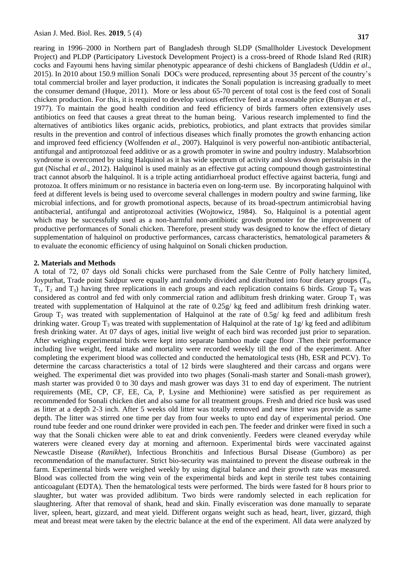rearing in 1996–2000 in Northern part of Bangladesh through SLDP (Smallholder Livestock Development Project) and PLDP (Participatory Livestock Development Project) is a cross-breed of Rhode Island Red (RIR) cocks and Fayoumi hens having similar phenotypic appearance of deshi chickens of Bangladesh (Uddin *et al*., 2015). In 2010 about 150.9 million Sonali DOCs were produced, representing about 35 percent of the country's total commercial broiler and layer production, it indicates the Sonali population is increasing gradually to meet the consumer demand (Huque, 2011). More or less about 65-70 percent of total cost is the feed cost of Sonali chicken production. For this, it is required to develop various effective feed at a reasonable price (Bunyan *et al.,* 1977). To maintain the good health condition and feed efficiency of birds farmers often extensively uses antibiotics on feed that causes a great threat to the human being. Various research implemented to find the alternatives of antibiotics likes organic acids, prebiotics, probiotics, and plant extracts that provides similar results in the prevention and control of infectious diseases which finally promotes the growth enhancing action and improved feed efficiency (Wolfenden *et al.,* 2007). Halquinol is very powerful non-antibiotic antibacterial, antifungal and antiprotozoal feed additive or as a growth promoter in swine and poultry industry. Malabsorbtion syndrome is overcomed by using Halquinol as it has wide spectrum of activity and slows down peristalsis in the gut (Nischal *et al*., 2012). Halquinol is used mainly as an effective gut acting compound though gastrointestinal tract cannot absorb the halquinol. It is a triple acting antidiarrhoeal product effective against bacteria, fungi and protozoa. It offers minimum or no resistance in bacteria even on long-term use. By incorporating halquinol with feed at different levels is being used to overcome several challenges in modern poultry and swine farming, like microbial infections, and for growth promotional aspects, because of its broad-spectrum antimicrobial having antibacterial, antifungal and antiprotozoal activities (Wojtowicz, 1984). So, Halquinol is a potential agent which may be successfully used as a non-harmful non-antibiotic growth promoter for the improvement of productive performances of Sonali chicken. Therefore, present study was designed to know the effect of dietary supplementation of halquinol on productive performances, carcass characteristics, hematological parameters & to evaluate the economic efficiency of using halquinol on Sonali chicken production.

## **2. Materials and Methods**

A total of 72, 07 days old Sonali chicks were purchased from the Sale Centre of Polly hatchery limited, Joypurhat, Trade point Saidpur were equally and randomly divided and distributed into four dietary groups  $(T_0, T_0)$  $T_1$ ,  $T_2$  and  $T_3$ ) having three replications in each groups and each replication contains 6 birds. Group  $T_0$  was considered as control and fed with only commercial ration and adlibitum fresh drinking water. Group  $T_1$  was treated with supplementation of Halquinol at the rate of 0.25g/ kg feed and adlibitum fresh drinking water. Group  $T_2$  was treated with supplementation of Halquinol at the rate of 0.5g/ kg feed and adlibitum fresh drinking water. Group  $T_3$  was treated with supplementation of Halquinol at the rate of 1g/ kg feed and adlibitum fresh drinking water. At 07 days of ages, initial live weight of each bird was recorded just prior to separation. After weighing experimental birds were kept into separate bamboo made cage floor .Then their performance including live weight, feed intake and mortality were recorded weekly till the end of the experiment. After completing the experiment blood was collected and conducted the hematological tests (Hb, ESR and PCV). To determine the carcass characteristics a total of 12 birds were slaughtered and their carcass and organs were weighed. The experimental diet was provided into two phages (Sonali-mash starter and Sonali-mash grower), mash starter was provided 0 to 30 days and mash grower was days 31 to end day of experiment. The nutrient requirements (ME, CP, CF, EE, Ca, P, Lysine and Methionine) were satisfied as per requirement as recommended for Sonali chicken diet and also same for all treatment groups. Fresh and dried rice husk was used as litter at a depth 2-3 inch. After 5 weeks old litter was totally removed and new litter was provide as same depth. The litter was stirred one time per day from four weeks to upto end day of experimental period. One round tube feeder and one round drinker were provided in each pen. The feeder and drinker were fixed in such a way that the Sonali chicken were able to eat and drink conveniently. Feeders were cleaned everyday while waterers were cleaned every day at morning and afternoon. Experimental birds were vaccinated against Newcastle Disease (*Ranikhet*), Infectious Bronchitis and Infectious Bursal Disease (Gumboro) as per recommendation of the manufacturer. Strict bio-security was maintained to prevent the disease outbreak in the farm. Experimental birds were weighed weekly by using digital balance and their growth rate was measured. Blood was collected from the wing vein of the experimental birds and kept in sterile test tubes containing anticoagulant (EDTA). Then the hematological tests were performed. The birds were fasted for 8 hours prior to slaughter, but water was provided adlibitum. Two birds were randomly selected in each replication for slaughtering. After that removal of shank, head and skin. Finally evisceration was done manually to separate liver, spleen, heart, gizzard, and meat yield. Different organs weight such as head, heart, liver, gizzard, thigh meat and breast meat were taken by the electric balance at the end of the experiment. All data were analyzed by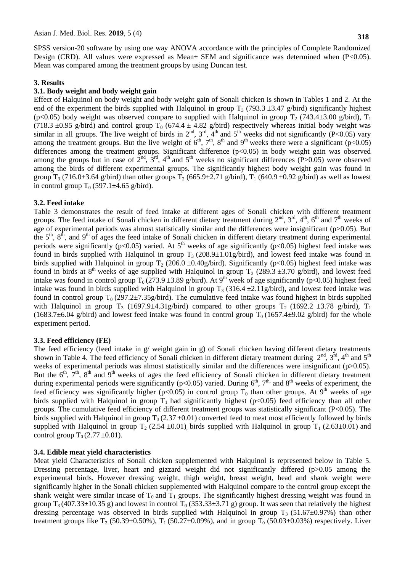SPSS version-20 software by using one way ANOVA accordance with the principles of Complete Randomized Design (CRD). All values were expressed as Mean± SEM and significance was determined when (P<0.05). Mean was compared among the treatment groups by using Duncan test.

### **3. Results**

### **3.1. Body weight and body weight gain**

Effect of Halquinol on body weight and body weight gain of Sonali chicken is shown in Tables 1 and 2. At the end of the experiment the birds supplied with Halquinol in group  $T_3$  (793.3  $\pm$ 3.47 g/bird) significantly highest (p<0.05) body weight was observed compare to supplied with Halquinol in group  $T_2$  (743.4±3.00 g/bird),  $T_1$ (718.3  $\pm$ 0.95 g/bird) and control group T<sub>0</sub> (674.4  $\pm$  4.82 g/bird) respectively whereas initial body weight was similar in all groups. The live weight of birds in  $2^{nd}$ ,  $3^{rd}$ ,  $4^{th}$  and  $5^{th}$  weeks did not significantly (P<0.05) vary among the treatment groups. But the live weight of  $6<sup>th</sup>$ ,  $7<sup>th</sup>$ ,  $8<sup>th</sup>$  and  $9<sup>th</sup>$  weeks there were a significant (p<0.05) differences among the treatment groups. Significant difference (p<0.05) in body weight gain was observed among the groups but in case of  $2^{nd}$ ,  $3^{rd}$ ,  $4^{th}$  and  $5^{th}$  weeks no significant differences (P>0.05) were observed among the birds of different experimental groups. The significantly highest body weight gain was found in group T<sub>3</sub> (716.0±3.64 g/bird) than other groups T<sub>2</sub> (665.9±2.71 g/bird), T<sub>1</sub> (640.9 ±0.92 g/bird) as well as lowest in control group  $T_0$  (597.1±4.65 g/bird).

## **3.2. Feed intake**

Table 3 demonstrates the result of feed intake at different ages of Sonali chicken with different treatment groups. The feed intake of Sonali chicken in different dietary treatment during  $2^{nd}$ ,  $3^{rd}$ ,  $4^{th}$ ,  $6^{th}$  and  $7^{th}$  weeks of age of experimental periods was almost statistically similar and the differences were insignificant ( $p$  $>$ 0.05). But the  $5<sup>th</sup>$ ,  $8<sup>th</sup>$ , and  $9<sup>th</sup>$  of ages the feed intake of Sonali chicken in different dietary treatment during experimental periods were significantly ( $p<0.05$ ) varied. At  $5<sup>th</sup>$  weeks of age significantly ( $p<0.05$ ) highest feed intake was found in birds supplied with Halquinol in group  $T_3$  (208.9 $\pm$ 1.01g/bird), and lowest feed intake was found in birds supplied with Halquinol in group  $T_2$  (206.0 ±0.40g/bird). Significantly (p<0.05) highest feed intake was found in birds at 8<sup>th</sup> weeks of age supplied with Halquinol in group  $T_3$  (289.3  $\pm$ 3.70 g/bird), and lowest feed intake was found in control group  $T_0$  (273.9 ±3.89 g/bird). At 9<sup>th</sup> week of age significantly (p<0.05) highest feed intake was found in birds supplied with Halquinol in group  $T_3$  (316.4 ±2.11g/bird), and lowest feed intake was found in control group  $T_0$  (297.2 $\pm$ 7.35g/bird). The cumulative feed intake was found highest in birds supplied with Halquinol in group  $T_3$  (1697.9±4.31g/bird) compared to other groups  $T_2$  (1692.2 ±3.78 g/bird),  $T_1$ (1683.7±6.04 g/bird) and lowest feed intake was found in control group  $T_0$  (1657.4±9.02 g/bird) for the whole experiment period.

### **3.3. Feed efficiency (FE)**

The feed efficiency (feed intake in g/ weight gain in g) of Sonali chicken having different dietary treatments shown in Table 4. The feed efficiency of Sonali chicken in different dietary treatment during  $2^{nd}$ ,  $3^{rd}$ ,  $4^{th}$  and  $5^{th}$ weeks of experimental periods was almost statistically similar and the differences were insignificant (p>0.05). But the  $6<sup>th</sup>$ ,  $7<sup>th</sup>$ ,  $8<sup>th</sup>$  and  $9<sup>th</sup>$  weeks of ages the feed efficiency of Sonali chicken in different dietary treatment during experimental periods were significantly ( $p<0.05$ ) varied. During  $6<sup>th</sup>$ ,  $7<sup>th</sup>$ , and  $8<sup>th</sup>$  weeks of experiment, the feed efficiency was significantly higher ( $p<0.05$ ) in control group T<sub>0</sub> than other groups. At 9<sup>th</sup> weeks of age birds supplied with Halquinol in group  $T_1$  had significantly highest (p<0.05) feed efficiency than all other groups. The cumulative feed efficiency of different treatment groups was statistically significant (P<0.05). The birds supplied with Halquinol in group  $T_3$  (2.37  $\pm$ 0.01) converted feed to meat most efficiently followed by birds supplied with Halquinol in group  $T_2$  (2.54 ±0.01), birds supplied with Halquinol in group  $T_1$  (2.63±0.01) and control group  $T_0$  (2.77  $\pm$ 0.01).

### **3.4. Edible meat yield characteristics**

Meat yield Characteristics of Sonali chicken supplemented with Halquinol is represented below in Table 5. Dressing percentage, liver, heart and gizzard weight did not significantly differed (p>0.05 among the experimental birds. However dressing weight, thigh weight, breast weight, head and shank weight were significantly higher in the Sonali chicken supplemented with Halquinol compare to the control group except the shank weight were similar incase of  $T_0$  and  $T_1$  groups. The significantly highest dressing weight was found in group  $T_3$  (407.33±10.35 g) and lowest in control  $T_0$  (353.33±3.71 g) group. It was seen that relatively the highest dressing percentage was observed in birds supplied with Halquinol in group  $T_3$  (51.67 $\pm$ 0.97%) than other treatment groups like  $T_2$  (50.39±0.50%),  $T_1$  (50.27±0.09%), and in group  $T_0$  (50.03±0.03%) respectively. Liver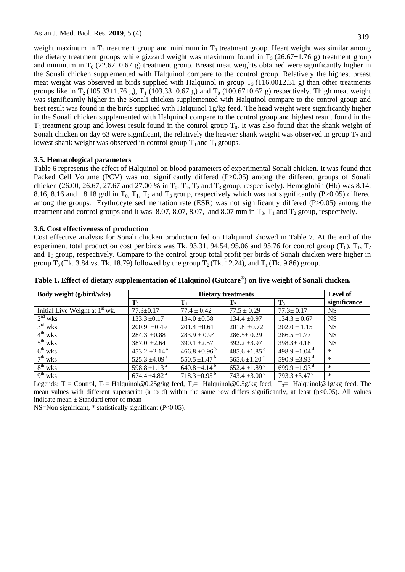weight maximum in  $T_1$  treatment group and minimum in  $T_0$  treatment group. Heart weight was similar among the dietary treatment groups while gizzard weight was maximum found in  $T_3$  (26.67 $\pm$ 1.76 g) treatment group and minimum in  $T_0$  (22.67±0.67 g) treatment group. Breast meat weights obtained were significantly higher in the Sonali chicken supplemented with Halquinol compare to the control group. Relatively the highest breast meat weight was observed in birds supplied with Halquinol in group  $T_3$  (116.00±2.31 g) than other treatments groups like in  $T_2$  (105.33±1.76 g),  $T_1$  (103.33±0.67 g) and  $T_0$  (100.67±0.67 g) respectively. Thigh meat weight was significantly higher in the Sonali chicken supplemented with Halquinol compare to the control group and best result was found in the birds supplied with Halquinol 1g/kg feed. The head weight were significantly higher in the Sonali chicken supplemented with Halquinol compare to the control group and highest result found in the  $T_3$  treatment group and lowest result found in the control group  $T_0$ . It was also found that the shank weight of Sonali chicken on day 63 were significant, the relatively the heavier shank weight was observed in group  $T_3$  and lowest shank weight was observed in control group  $T_0$  and  $T_1$  groups.

# **3.5. Hematological parameters**

Table 6 represents the effect of Halquinol on blood parameters of experimental Sonali chicken. It was found that Packed Cell Volume (PCV) was not significantly differed (P>0.05) among the different groups of Sonali chicken (26.00, 26.67, 27.67 and 27.00 % in  $T_0$ ,  $T_1$ ,  $T_2$  and  $T_3$  group, respectively). Hemoglobin (Hb) was 8.14, 8.16, 8.16 and 8.18 g/dl in  $T_0$ ,  $T_1$ ,  $T_2$  and  $T_3$  group, respectively which was not significantly (P>0.05) differed among the groups. Erythrocyte sedimentation rate (ESR) was not significantly differed (P>0.05) among the treatment and control groups and it was 8.07, 8.07, 8.07, and 8.07 mm in  $T_0$ ,  $T_1$  and  $T_2$  group, respectively.

# **3.6. Cost effectiveness of production**

Cost effective analysis for Sonali chicken production fed on Halquinol showed in Table 7. At the end of the experiment total production cost per birds was Tk. 93.31, 94.54, 95.06 and 95.76 for control group (T<sub>0</sub>), T<sub>1</sub>, T<sub>2</sub> and T<sub>3</sub> group, respectively. Compare to the control group total profit per birds of Sonali chicken were higher in group  $T_3$  (Tk. 3.84 vs. Tk. 18.79) followed by the group  $T_2$  (Tk. 12.24), and  $T_1$  (Tk. 9.86) group.

| Body weight (g/bird/wks)         |                               | Level of                      |                               |                               |              |
|----------------------------------|-------------------------------|-------------------------------|-------------------------------|-------------------------------|--------------|
|                                  | $T_0$                         |                               | $\mathbf{T}_2$                | $T_3$                         | significance |
| Initial Live Weight at $1st$ wk. | $77.3 \pm 0.17$               | $77.4 \pm 0.42$               | $77.5 \pm 0.29$               | $77.3 \pm 0.17$               | <b>NS</b>    |
| $2nd$ wks                        | $133.3 \pm 0.17$              | $134.0 \pm 0.58$              | $134.4 \pm 0.97$              | $134.3 \pm 0.67$              | <b>NS</b>    |
| $3rd$ wks                        | 200.9 $\pm 0.49$              | $201.4 \pm 0.61$              | $201.8 \pm 0.72$              | $202.0 \pm 1.15$              | <b>NS</b>    |
| $4^{th}$ wks                     | $284.3 \pm 0.88$              | $283.9 \pm 0.94$              | $286.5 \pm 0.29$              | $286.5 \pm 1.77$              | <b>NS</b>    |
| $5^{th}$ wks                     | $387.0 \pm 2.64$              | $390.1 \pm 2.57$              | $392.2 \pm 3.97$              | $398.3 \pm 4.18$              | <b>NS</b>    |
| $6^{th}$ wks                     | 453.2 $\pm$ 2.14 <sup>a</sup> | $466.8 \pm 0.96^{\circ}$      | 485.6 $\pm$ 1.85 $\degree$    | 498.9 $\pm$ 1.04 <sup>d</sup> | $\ast$       |
| $7th$ wks                        | 525.3 $\pm$ 4.09 <sup>a</sup> | $550.5 \pm 1.47^{\mathrm{b}}$ | $565.6 \pm 1.20^{\circ}$      | 590.9 $\pm$ 3.93 <sup>d</sup> | $\ast$       |
| $8^{th}$ wks                     | 598.8 $\pm$ 1.13 <sup>a</sup> | $640.8 \pm 4.14^{\mathrm{b}}$ | $652.4 \pm 1.89$ <sup>c</sup> | 699.9 $\pm$ 1.93 <sup>d</sup> | $\ast$       |
| $9^{th}$ wks                     | $674.4 \pm 4.82$ <sup>a</sup> | $718.3 \pm 0.95^{\mathrm{b}}$ | 743.4 $\pm$ 3.00 $^{\circ}$   | $793.3 \pm 3.47$ <sup>d</sup> | $\ast$       |

**Table 1. Effect of dietary supplementation of Halquinol (Gutcare***®* **) on live weight of Sonali chicken.**

Legends:  $T_0$ = Control,  $T_1$ = [Halquinol@0.25g/kg](mailto:Halquinol@0.25g/kg) feed,  $T_2$ = [Halquinol@0.5g/kg](mailto:Halquinol@0.5g/kg) feed,  $T_3$ = [Halquinol@1g/kg](mailto:Halquinol@0.5g/kg) feed. The mean values with different superscript (a to d) within the same row differs significantly, at least ( $p<0.05$ ). All values indicate mean ± Standard error of mean

NS=Non significant, \* statistically significant (P<0.05).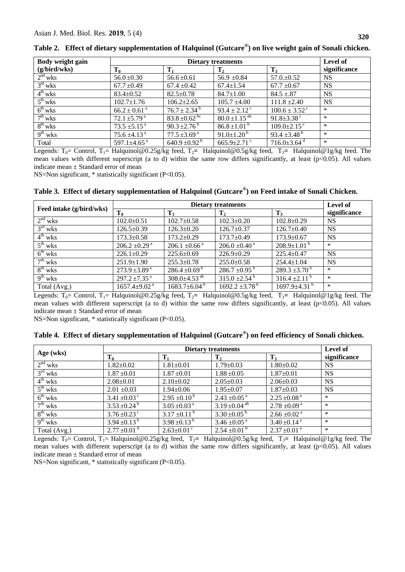| Body weight gain |                              | Level of                      |                               |                               |              |
|------------------|------------------------------|-------------------------------|-------------------------------|-------------------------------|--------------|
| (g/bird/wks)     | $T_0$                        | $\mathbf{T}_1$                | $\mathbf{T}_2$                | $\mathbf{T}_3$                | significance |
| $2nd$ wks        | $56.0 \pm 0.30$              | $56.6 \pm 0.61$               | $56.9 \pm 0.84$               | $57.0 \pm 0.52$               | <b>NS</b>    |
| $3rd$ wks        | $67.7 \pm 0.49$              | $67.4 \pm 0.42$               | $67.4 \pm 1.54$               | $67.7 \pm 0.67$               | <b>NS</b>    |
| $4th$ wks        | $83.4 \pm 0.52$              | $82.5 \pm 0.78$               | $84.7 \pm 1.00$               | $84.5 \pm 0.87$               | <b>NS</b>    |
| $5th$ wks        | $102.7 \pm 1.76$             | $106.2 \pm 2.65$              | $105.7 \pm 4.00$              | $111.8 \pm 2.40$              | <b>NS</b>    |
| $6th$ wks        | $66.2 \pm 0.61$ <sup>a</sup> | $76.7 \pm 2.34^{\mathrm{b}}$  | $93.4 \pm 2.12$ <sup>c</sup>  | $100.6 \pm 3.52$ <sup>c</sup> | $\ast$       |
| $7th$ wks        | $72.1 \pm 5.79$ <sup>a</sup> | $83.8 \pm 0.62$ <sup>bc</sup> | $80.0 \pm 1.15$ <sup>ab</sup> | $91.8 \pm 3.38$ <sup>c</sup>  | $\ast$       |
| $8th$ wks        | $73.5 \pm 5.15$ <sup>a</sup> | $90.3 \pm 2.76^{\mathrm{b}}$  | $86.8 \pm 1.01^{\text{b}}$    | $109.0 \pm 2.15$ <sup>c</sup> | $\ast$       |
| $9^{th}$ wks     | $75.6 \pm 4.13$ <sup>a</sup> | $77.5 \pm 3.69$ <sup>a</sup>  | $91.0 \pm 1.20^{\mathrm{b}}$  | 93.4 $\pm$ 3.48 <sup>b</sup>  | $\ast$       |
| Total            | 597.1 $\pm$ 4.65 $^{\rm a}$  | $640.9 \pm 0.92$ <sup>b</sup> | $665.9 \pm 2.71$ °            | $716.0\pm3.64$ <sup>d</sup>   | $\ast$       |

**Table 2. Effect of dietary supplementation of Halquinol (Gutcare***®* **) on live weight gain of Sonali chicken.**

Legends: T<sub>0</sub>= Control, T<sub>1</sub>= [Halquinol@0.25g/kg](mailto:Halquinol@0.25g/kg) feed, T<sub>2</sub>= [Halquinol@0.5g/kg](mailto:Halquinol@0.5g/kg) feed, T<sub>3</sub>= [Halquinol@1g/kg](mailto:Halquinol@0.5g/kg) feed. The mean values with different superscript (a to d) within the same row differs significantly, at least (p<0.05). All values indicate mean ± Standard error of mean

NS=Non significant, \* statistically significant (P<0.05).

| Table 3. Effect of dietary supplementation of Halquinol (Gutcare®) on Feed intake of Sonali Chicken. |  |  |  |  |  |  |  |
|------------------------------------------------------------------------------------------------------|--|--|--|--|--|--|--|
|------------------------------------------------------------------------------------------------------|--|--|--|--|--|--|--|

|                          |                               | Level of                       |                                |                                |              |
|--------------------------|-------------------------------|--------------------------------|--------------------------------|--------------------------------|--------------|
| Feed intake (g/bird/wks) | $T_0$                         | $T_1$                          | T <sub>2</sub>                 | $\mathbf{T}_3$                 | significance |
| $2nd$ wks                | $102.0 \pm 0.51$              | $102.7 \pm 0.58$               | $102.3 \pm 0.20$               | $102.8 \pm 0.29$               | <b>NS</b>    |
| $3rd$ wks                | $126.5 \pm 0.39$              | $126.3 \pm 0.20$               | $126.7 \pm 0.37$               | $126.7 \pm 0.40$               | <b>NS</b>    |
| $4^{th}$ wks             | $173.3 \pm 0.58$              | $173.2 \pm 0.29$               | $173.7 \pm 0.49$               | $173.9 \pm 0.67$               | <b>NS</b>    |
| $5^{th}$ wks             | $206.2 \pm 0.29$ <sup>a</sup> | $206.1 \pm 0.66$ <sup>a</sup>  | $206.0 \pm 0.40^{\text{ a}}$   | $208.9 \pm 1.01^{\text{b}}$    | $\ast$       |
| $6th$ wks                | $226.1 \pm 0.29$              | $225.6 \pm 0.69$               | $226.9 \pm 0.29$               | $225.4 \pm 0.47$               | <b>NS</b>    |
| $7th$ wks                | $251.9 \pm 1.90$              | $255.3 \pm 0.78$               | $255.0 \pm 0.58$               | $254.4 \pm 1.04$               | <b>NS</b>    |
| $8^{th}$ wks             | $273.9 \pm 3.89^{\text{a}}$   | $286.4 \pm 0.69^{\mathrm{b}}$  | $286.7 \pm 0.95^{\mathrm{b}}$  | $289.3 \pm 3.70^{\mathrm{b}}$  | $\ast$       |
| $9^{th}$ wks             | $297.2 \pm 7.35$ <sup>a</sup> | $308.0 \pm 4.53$ <sup>ab</sup> | $315.0 \pm 2.54^{\circ}$       | 316.4 $\pm$ 2.11 <sup>b</sup>  | *            |
| Total (Avg.)             | $1657.4{\pm}9.02$ a           | $1683.7 \pm 6.04^{\mathrm{b}}$ | $1692.2 \pm 3.78^{\mathrm{b}}$ | $1697.9 \pm 4.31$ <sup>b</sup> | ∗            |

Legends: T<sub>0</sub>= Control, T<sub>1</sub>= [Halquinol@0.25g/kg](mailto:Halquinol@0.25g/kg) feed, T<sub>2</sub>= [Halquinol@0.5g/kg](mailto:Halquinol@0.5g/kg) feed, T<sub>3</sub>= [Halquinol@1g/kg](mailto:Halquinol@0.5g/kg) feed. The mean values with different superscript (a to d) within the same row differs significantly, at least ( $p<0.05$ ). All values indicate mean ± Standard error of mean

NS=Non significant, \* statistically significant (P<0.05).

**Table 4. Effect of dietary supplementation of Halquinol (Gutcare***®* **) on feed efficiency of Sonali chicken.**

| Age (wks)    |                              | Dietary treatments           |                               |                              |              |  |  |
|--------------|------------------------------|------------------------------|-------------------------------|------------------------------|--------------|--|--|
|              | $T_0$                        |                              | $\mathbf{T}_2$                | $\mathbf{T}_3$               | significance |  |  |
| $2nd$ wks    | $1.82 \pm 0.02$              | $1.81 \pm 0.01$              | $1.79 \pm 0.03$               | $1.80 \pm 0.02$              | <b>NS</b>    |  |  |
| $3rd$ wks    | $1.87 \pm 0.01$              | $1.87 \pm 0.01$              | $1.88 \pm 0.05$               | $1.87 \pm 0.01$              | <b>NS</b>    |  |  |
| $4^{th}$ wks | $2.08 \pm 0.01$              | $2.10\pm0.02$                | $2.05 \pm 0.03$               | $2.06 \pm 0.03$              | <b>NS</b>    |  |  |
| $5^{th}$ wks | $2.01 \pm 0.03$              | $1.94 \pm 0.06$              | $1.95 \pm 0.07$               | $1.87 \pm 0.03$              | <b>NS</b>    |  |  |
| $6^{th}$ wks | $3.41 \pm 0.03$ <sup>c</sup> | $2.95 \pm 0.10^{\circ}$      | $2.43 \pm 0.05$ <sup>a</sup>  | $2.25 \pm 0.08$ <sup>a</sup> | $\ast$       |  |  |
| $7th$ wks    | $3.53 \pm 0.24^{\circ}$      | $3.05 \pm 0.03$ <sup>a</sup> | $3.19 \pm 0.04$ <sup>ab</sup> | $2.78 \pm 0.09^{\text{a}}$   | $\ast$       |  |  |
| $8^{th}$ wks | $3.76 \pm 0.23$ <sup>c</sup> | 3.17 $\pm$ 0.11 <sup>b</sup> | $3.30 \pm 0.05^{\mathrm{b}}$  | $2.66 \pm 0.02$ <sup>a</sup> | $\ast$       |  |  |
| $9^{th}$ wks | $3.94 \pm 0.13^{b}$          | $3.98 \pm 0.13^{\mathrm{b}}$ | $3.46 \pm 0.05$ <sup>a</sup>  | $3.40 \pm 0.14$ <sup>a</sup> | $\ast$       |  |  |
| Total (Avg.) | $2.77 \pm 0.01$ <sup>d</sup> | $2.63 \pm 0.01$ °            | $2.54 \pm 0.01^{\circ}$       | $2.37 \pm 0.01$ <sup>a</sup> | $\ast$       |  |  |

Legends: T<sub>0</sub>= Control, T<sub>1</sub>= [Halquinol@0.25g/kg](mailto:Halquinol@0.25g/kg) feed, T<sub>2</sub>= [Halquinol@0.5g/kg](mailto:Halquinol@0.5g/kg) feed, T<sub>3</sub>= [Halquinol@1g/kg](mailto:Halquinol@0.5g/kg) feed. The mean values with different superscript (a to d) within the same row differs significantly, at least ( $p<0.05$ ). All values indicate mean ± Standard error of mean

NS=Non significant, \* statistically significant (P<0.05).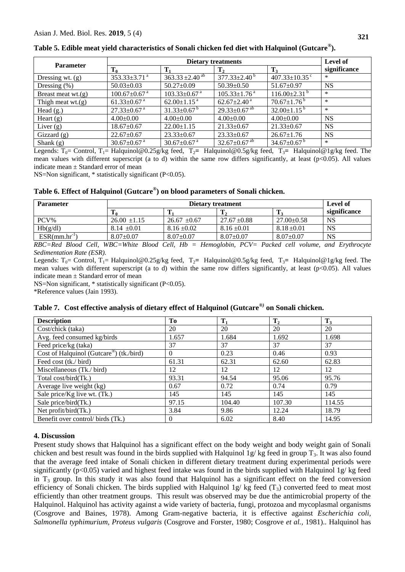| <b>Parameter</b>    |                                | <b>Level of</b>                 |                                |                               |              |
|---------------------|--------------------------------|---------------------------------|--------------------------------|-------------------------------|--------------|
|                     | $T_0$                          |                                 | $T_{2}$                        | $\mathbf{T}_3$                | significance |
| Dressing wt. $(g)$  | $353.33 \pm 3.71$ <sup>a</sup> | $363.33 \pm 2.40$ <sup>ab</sup> | $377.33 \pm 2.40^{\mathrm{b}}$ | 407.33 $\pm$ 10.35 $\degree$  | $\ast$       |
| Dressing $(\%)$     | $50.03 \pm 0.03$               | $50.27 \pm 0.09$                | $50.39 \pm 0.50$               | $51.67 \pm 0.97$              | <b>NS</b>    |
| Breast meat $wt(g)$ | $100.67 \pm 0.67$ <sup>a</sup> | $103.33 \pm 0.67$ <sup>a</sup>  | $105.33 \pm 1.76$ <sup>a</sup> | $116.00\pm2.31$ <sup>b</sup>  | $\ast$       |
| Thigh meat $wt(g)$  | $61.33 \pm 0.67$ <sup>a</sup>  | $62.00 \pm 1.15$ <sup>a</sup>   | $62.67 \pm 2.40^{\text{ a}}$   | $70.67 \pm 1.76^{\mathrm{b}}$ | $\ast$       |
| Head $(g.)$         | $27.33 \pm 0.67$ <sup>a</sup>  | $31.33 \pm 0.67^{\mathrm{b}}$   | $29.33 \pm 0.67$ <sup>ab</sup> | $32.00 \pm 1.15^{b}$          | $\ast$       |
| Heart $(g)$         | $4.00 \pm 0.00$                | $4.00 \pm 0.00$                 | $4.00 \pm 0.00$                | $4.00 \pm 0.00$               | <b>NS</b>    |
| Liver $(g)$         | $18.67 \pm 0.67$               | $22.00 \pm 1.15$                | $21.33 \pm 0.67$               | $21.33 \pm 0.67$              | <b>NS</b>    |
| Gizzard $(g)$       | $22.67 \pm 0.67$               | $23.33 \pm 0.67$                | $23.33 \pm 0.67$               | $26.67 \pm 1.76$              | <b>NS</b>    |
| Shank $(g)$         | $30.67 \pm 0.67$ <sup>a</sup>  | $30.67 \pm 0.67$ <sup>a</sup>   | $32.67 \pm 0.67$ <sup>ab</sup> | 34.67 $\pm$ 0.67 $^{\circ}$   | $\ast$       |

**Table 5. Edible meat yield characteristics of Sonali chicken fed diet with Halquinol (Gutcare***®* **).**

Legends:  $T_0$ = Control,  $T_1$ = [Halquinol@0.25g/kg](mailto:Halquinol@0.25g/kg) feed,  $T_2$ = *[Halquinol@0.5g/kg](mailto:Halquinol@0.5g/kg) feed*,  $T_3$ = *[Halquinol@1g/kg](mailto:Halquinol@0.5g/kg) feed. The* mean values with different superscript (a to d) within the same row differs significantly, at least ( $p<0.05$ ). All values indicate mean ± Standard error of mean

NS=Non significant, \* statistically significant (P<0.05).

**Table 6. Effect of Halquinol (Gutcare***®* **) on blood parameters of Sonali chicken.**

| <b>Parameter</b>  |                  | Dietary treatment |                  |                  |              |  |  |
|-------------------|------------------|-------------------|------------------|------------------|--------------|--|--|
|                   | 10               |                   |                  |                  | significance |  |  |
| PCV%              | $26.00 \pm 1.15$ | $26.67 \pm 0.67$  | $27.67 \pm 0.88$ | $27.00 \pm 0.58$ | <b>NS</b>    |  |  |
| Hb(g/dl)          | $8.14 \pm 0.01$  | $8.16 \pm 0.02$   | $8.16 \pm 0.01$  | $8.18 \pm 0.01$  | <b>NS</b>    |  |  |
| $ESR(mm.hr^{-1})$ | $8.07 \pm 0.07$  | $8.07 \pm 0.07$   | $8.07 \pm 0.07$  | $8.07 \pm 0.07$  | <b>NS</b>    |  |  |

*RBC=Red Blood Cell, WBC=White Blood Cell, Hb = Hemoglobin, PCV= Packed cell volume, and Erythrocyte Sedimentation Rate (ESR).*

Legends: T<sub>0</sub>= Control, T<sub>1</sub>= [Halquinol@0.25g/kg](mailto:Halquinol@0.25g/kg) feed, T<sub>2</sub>= [Halquinol@0.5g/kg](mailto:Halquinol@0.5g/kg) feed, T<sub>3</sub>= [Halquinol@1g/kg](mailto:Halquinol@0.5g/kg) feed. The mean values with different superscript (a to d) within the same row differs significantly, at least ( $p<0.05$ ). All values indicate mean ± Standard error of mean

NS=Non significant, \* statistically significant (P<0.05).

\*Reference values (Jain 1993).

# **Table 7. Cost effective analysis of dietary effect of Halquinol (Gutcare***®)* **on Sonali chicken.**

| <b>Description</b>                      | T <sub>0</sub> | $T_1$  | T <sub>2</sub> | $\mathbf{T}_3$ |
|-----------------------------------------|----------------|--------|----------------|----------------|
| Cost/chick (taka)                       | 20             | 20     | 20             | 20             |
| Avg. feed consumed kg/birds             | 1.657          | 1.684  | 1.692          | 1.698          |
| Feed price/kg (taka)                    | 37             | 37     | 37             | 37             |
| Cost of Halquinol (Gutcare®) (tk./bird) | $\Omega$       | 0.23   | 0.46           | 0.93           |
| Feed cost (tk./ bird)                   | 61.31          | 62.31  | 62.60          | 62.83          |
| Miscellaneous (Tk./ bird)               | 12             | 12     | 12             | 12             |
| Total cost/bird(Tk.)                    | 93.31          | 94.54  | 95.06          | 95.76          |
| Average live weight (kg)                | 0.67           | 0.72   | 0.74           | 0.79           |
| Sale price/Kg live wt. (Tk.)            | 145            | 145    | 145            | 145            |
| Sale price/bird(Tk.)                    | 97.15          | 104.40 | 107.30         | 114.55         |
| Net profit/bird(Tk.)                    | 3.84           | 9.86   | 12.24          | 18.79          |
| Benefit over control/ birds (Tk.)       | $\Omega$       | 6.02   | 8.40           | 14.95          |

# **4. Discussion**

Present study shows that Halquinol has a significant effect on the body weight and body weight gain of Sonali chicken and best result was found in the birds supplied with Halquinol  $1g/\text{kg}$  feed in group T<sub>3</sub>. It was also found that the average feed intake of Sonali chicken in different dietary treatment during experimental periods were significantly (p<0.05) varied and highest feed intake was found in the birds supplied with Halquinol 1g/ kg feed in  $T_3$  group. In this study it was also found that Halquinol has a significant effect on the feed conversion efficiency of Sonali chicken. The birds supplied with Halquinol 1g/ kg feed  $(T<sub>3</sub>)$  converted feed to meat most efficiently than other treatment groups. This result was observed may be due the antimicrobial property of the Halquinol. Halquinol has activity against a wide variety of bacteria, fungi, protozoa and mycoplasmal organisms (Cosgrove and Baines, 1978). Among Gram-negative bacteria, it is effective against *Escherichia coli, Salmonella typhimurium, Proteus vulgaris* (Cosgrove and Forster, 1980; Cosgrove *et al.,* 1981).. Halquinol has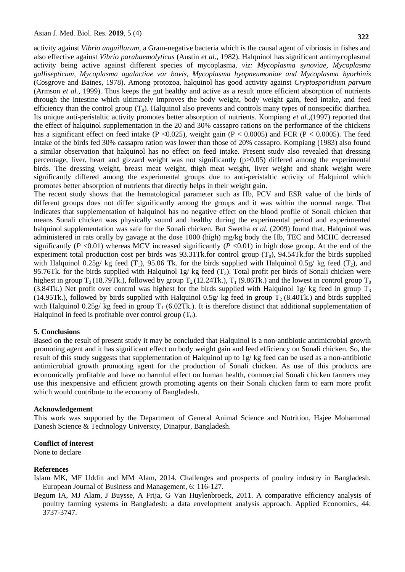activity against *Vibrio anguillarum,* a Gram-negative bacteria which is the causal agent of vibriosis in fishes and also effective against *Vibrio parahaemolyticus* (Austin *et al.,* 1982). Halquinol has significant antimycoplasmal activity being active against different species of mycoplasma, *viz: Mycoplasma synoviae, Mycoplasma gallisepticum, Mycoplasma agalactiae var bovis, Mycoplasma hyopneumoniae and Mycoplasma hyorhinis*  (Cosgrove and Baines, 1978). Among protozoa, halquinol has good activity against *Cryptosporidium parvum* (Armson *et al.,* 1999). Thus keeps the gut healthy and active as a result more efficient absorption of nutrients through the intestine which ultimately improves the body weight, body weight gain, feed intake, and feed efficiency than the control group  $(T_0)$ . Halquinol also prevents and controls many types of nonspecific diarrhea. Its unique anti-peristaltic activity promotes better absorption of nutrients. Kompiang *et al.*,(1997) reported that the effect of halquinol supplementation in the 20 and 30% cassapro rations on the performance of the chickens has a significant effect on feed intake (P <0.025), weight gain (P < 0.0005) and FCR (P < 0.0005). The feed intake of the birds fed 30% cassapro ration was lower than those of 20% cassapro. Kompiang (1983) also found a similar observation that halquinol has no effect on feed intake. Present study also revealed that dressing percentage, liver, heart and gizzard weight was not significantly (p>0.05) differed among the experimental birds. The dressing weight, breast meat weight, thigh meat weight, liver weight and shank weight were significantly differed among the experimental groups due to anti-peristaltic activity of Halquinol which promotes better absorption of nutrients that directly helps in their weight gain.

The recent study shows that the hematological parameter such as Hb, PCV and ESR value of the birds of different groups does not differ significantly among the groups and it was within the normal range. That indicates that supplementation of halquinol has no negative effect on the blood profile of Sonali chicken that means Sonali chicken was physically sound and healthy during the experimental period and experimented halquinol supplementation was safe for the Sonali chicken. But Swetha *et al.* (2009) found that, Halquinol was administered in rats orally by gavage at the dose 1000 (high) mg/kg body the Hb, TEC and MCHC decreased significantly ( $P < 0.01$ ) whereas MCV increased significantly ( $P < 0.01$ ) in high dose group. At the end of the experiment total production cost per birds was  $93.31$ Tk.for control group (T<sub>0</sub>),  $94.54$ Tk.for the birds supplied with Halquinol 0.25g/ kg feed  $(T_1)$ , 95.06 Tk. for the birds supplied with Halquinol 0.5g/ kg feed  $(T_2)$ , and 95.76Tk. for the birds supplied with Halquinol  $1g$ / kg feed  $(T<sub>3</sub>)$ . Total profit per birds of Sonali chicken were highest in group T<sub>3</sub> (18.79Tk.), followed by group T<sub>2</sub> (12.24Tk.), T<sub>1</sub> (9.86Tk.) and the lowest in control group T<sub>0</sub> (3.84Tk.) Net profit over control was highest for the birds supplied with Halquinol 1g/ kg feed in group  $T_3$ (14.95Tk.), followed by birds supplied with Halquinol 0.5g/ kg feed in group  $T_2$  (8.40Tk.) and birds supplied with Halquinol 0.25g/ kg feed in group  $T_1$  (6.02Tk.). It is therefore distinct that additional supplementation of Halquinol in feed is profitable over control group  $(T_0)$ .

#### **5. Conclusions**

Based on the result of present study it may be concluded that Halquinol is a non-antibiotic antimicrobial growth promoting agent and it has significant effect on body weight gain and feed efficiency on Sonali chicken. So, the result of this study suggests that supplementation of Halquinol up to 1g/ kg feed can be used as a non-antibiotic antimicrobial growth promoting agent for the production of Sonali chicken. As use of this products are economically profitable and have no harmful effect on human health, commercial Sonali chicken farmers may use this inexpensive and efficient growth promoting agents on their Sonali chicken farm to earn more profit which would contribute to the economy of Bangladesh.

#### **Acknowledgement**

This work was supported by the Department of General Animal Science and Nutrition, Hajee Mohammad Danesh Science & Technology University, Dinajpur, Bangladesh.

#### **Conflict of interest**

None to declare

#### **References**

Islam MK, MF Uddin and MM Alam, 2014. Challenges and prospects of poultry industry in Bangladesh. European Journal of Business and Management*,* 6: 116-127.

Begum IA, MJ Alam, J Buysse, A Frija, G Van Huylenbroeck, 2011. A comparative efficiency analysis of poultry farming systems in Bangladesh: a data envelopment analysis approach. Applied Economics*,* 44: 3737-3747.